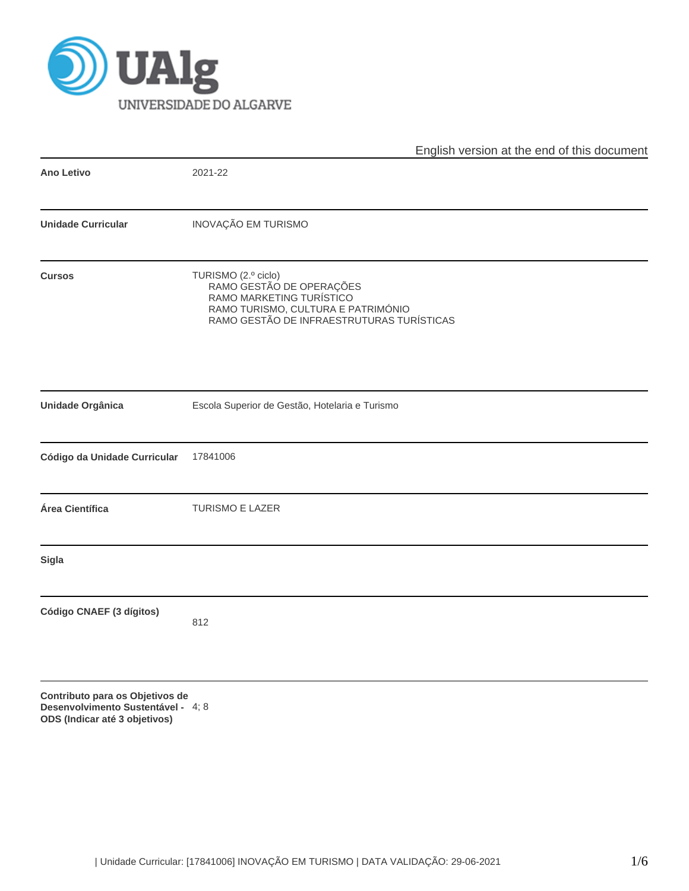

|                              | English version at the end of this document                                                                                                                    |
|------------------------------|----------------------------------------------------------------------------------------------------------------------------------------------------------------|
| <b>Ano Letivo</b>            | 2021-22                                                                                                                                                        |
| <b>Unidade Curricular</b>    | INOVAÇÃO EM TURISMO                                                                                                                                            |
| <b>Cursos</b>                | TURISMO (2.º ciclo)<br>RAMO GESTÃO DE OPERAÇÕES<br>RAMO MARKETING TURÍSTICO<br>RAMO TURISMO, CULTURA E PATRIMÓNIO<br>RAMO GESTÃO DE INFRAESTRUTURAS TURÍSTICAS |
| Unidade Orgânica             | Escola Superior de Gestão, Hotelaria e Turismo                                                                                                                 |
| Código da Unidade Curricular | 17841006                                                                                                                                                       |
| Área Científica              | TURISMO E LAZER                                                                                                                                                |
| <b>Sigla</b>                 |                                                                                                                                                                |
| Código CNAEF (3 dígitos)     | 812                                                                                                                                                            |
|                              |                                                                                                                                                                |

**Contributo para os Objetivos de Desenvolvimento Sustentável - ODS (Indicar até 3 objetivos)** 4; 8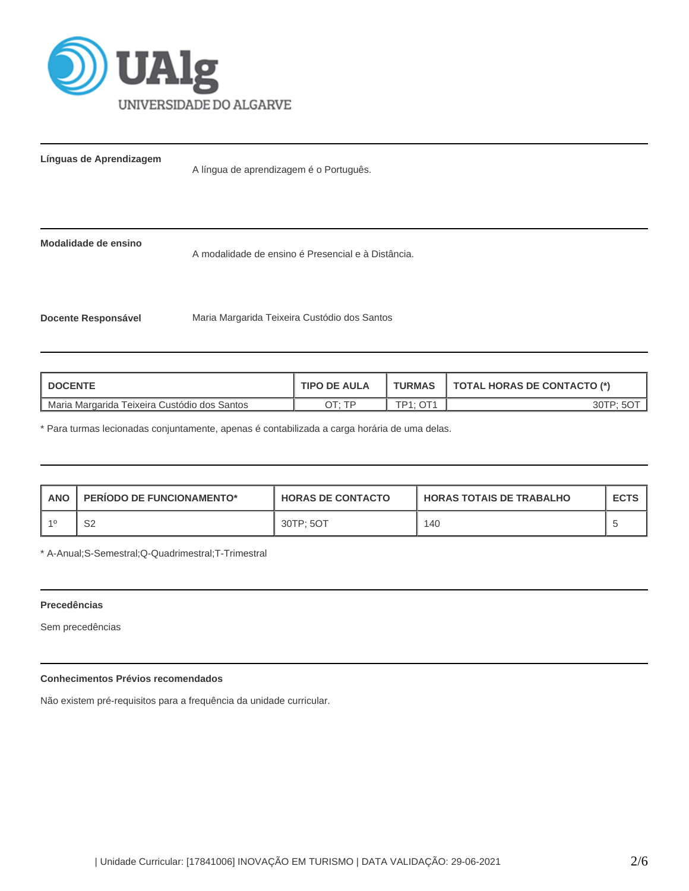

**Línguas de Aprendizagem** A língua de aprendizagem é o Português.

**Modalidade de ensino**

A modalidade de ensino é Presencial e à Distância.

**Docente Responsável** Maria Margarida Teixeira Custódio dos Santos

| <b>DOCENTE</b>                               | <b>TIPO DE AULA</b> | <b>TURMAS</b>   | TOTAL HORAS DE CONTACTO (*) |
|----------------------------------------------|---------------------|-----------------|-----------------------------|
| Maria Margarida Teixeira Custódio dos Santos | חד∙ ⊤ר              | <b>TP1: OT1</b> | 30TP: 50                    |

\* Para turmas lecionadas conjuntamente, apenas é contabilizada a carga horária de uma delas.

| <b>ANO</b> | <b>PERIODO DE FUNCIONAMENTO*</b> | <b>HORAS DE CONTACTO</b> | <b>I HORAS TOTAIS DE TRABALHO</b> | <b>ECTS</b> |
|------------|----------------------------------|--------------------------|-----------------------------------|-------------|
| -10        | S2                               | 30TP: 5OT                | 140                               |             |

\* A-Anual;S-Semestral;Q-Quadrimestral;T-Trimestral

# **Precedências**

Sem precedências

# **Conhecimentos Prévios recomendados**

Não existem pré-requisitos para a frequência da unidade curricular.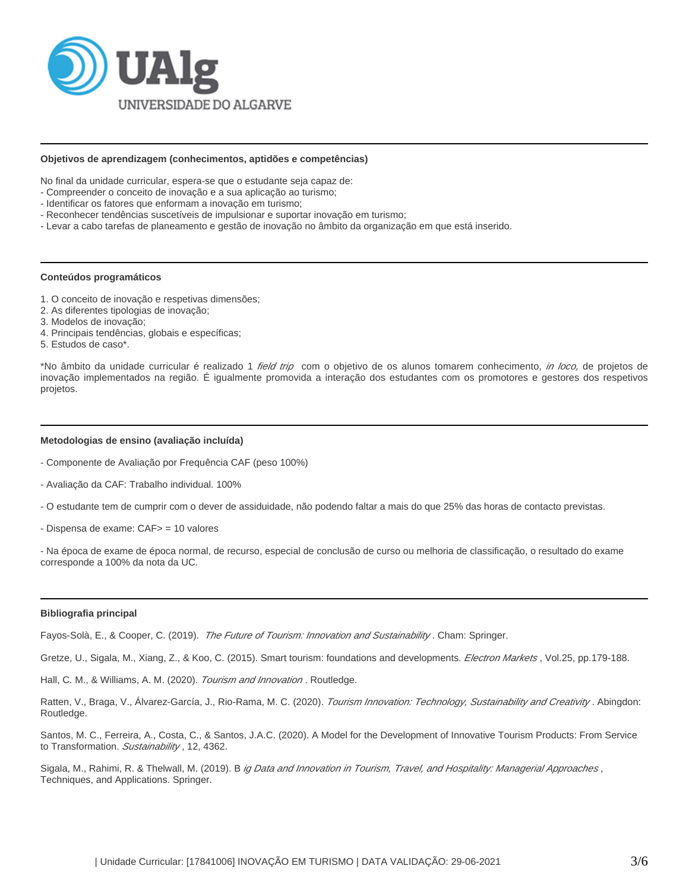

# **Objetivos de aprendizagem (conhecimentos, aptidões e competências)**

No final da unidade curricular, espera-se que o estudante seja capaz de:

- Compreender o conceito de inovação e a sua aplicação ao turismo;
- Identificar os fatores que enformam a inovação em turismo;
- Reconhecer tendências suscetíveis de impulsionar e suportar inovação em turismo;
- Levar a cabo tarefas de planeamento e gestão de inovação no âmbito da organização em que está inserido.

#### **Conteúdos programáticos**

- 1. O conceito de inovação e respetivas dimensões;
- 2. As diferentes tipologias de inovação;
- 3. Modelos de inovação;
- 4. Principais tendências, globais e específicas;
- 5. Estudos de caso\*.

\*No âmbito da unidade curricular é realizado 1 *field trip* com o objetivo de os alunos tomarem conhecimento, in loco, de projetos de inovação implementados na região. É igualmente promovida a interação dos estudantes com os promotores e gestores dos respetivos projetos.

#### **Metodologias de ensino (avaliação incluída)**

- Componente de Avaliação por Frequência CAF (peso 100%)
- Avaliação da CAF: Trabalho individual. 100%
- O estudante tem de cumprir com o dever de assiduidade, não podendo faltar a mais do que 25% das horas de contacto previstas.
- Dispensa de exame: CAF> = 10 valores

- Na época de exame de época normal, de recurso, especial de conclusão de curso ou melhoria de classificação, o resultado do exame corresponde a 100% da nota da UC.

#### **Bibliografia principal**

Fayos-Solà, E., & Cooper, C. (2019). The Future of Tourism: Innovation and Sustainability. Cham: Springer.

Gretze, U., Sigala, M., Xiang, Z., & Koo, C. (2015). Smart tourism: foundations and developments. Electron Markets, Vol.25, pp.179-188.

Hall, C. M., & Williams, A. M. (2020). Tourism and Innovation. Routledge.

Ratten, V., Braga, V., Álvarez-García, J., Rio-Rama, M. C. (2020). Tourism Innovation: Technology, Sustainability and Creativity. Abingdon: Routledge.

Santos, M. C., Ferreira, A., Costa, C., & Santos, J.A.C. (2020). A Model for the Development of Innovative Tourism Products: From Service to Transformation. Sustainability, 12, 4362.

Sigala, M., Rahimi, R. & Thelwall, M. (2019). B ig Data and Innovation in Tourism, Travel, and Hospitality: Managerial Approaches, Techniques, and Applications. Springer.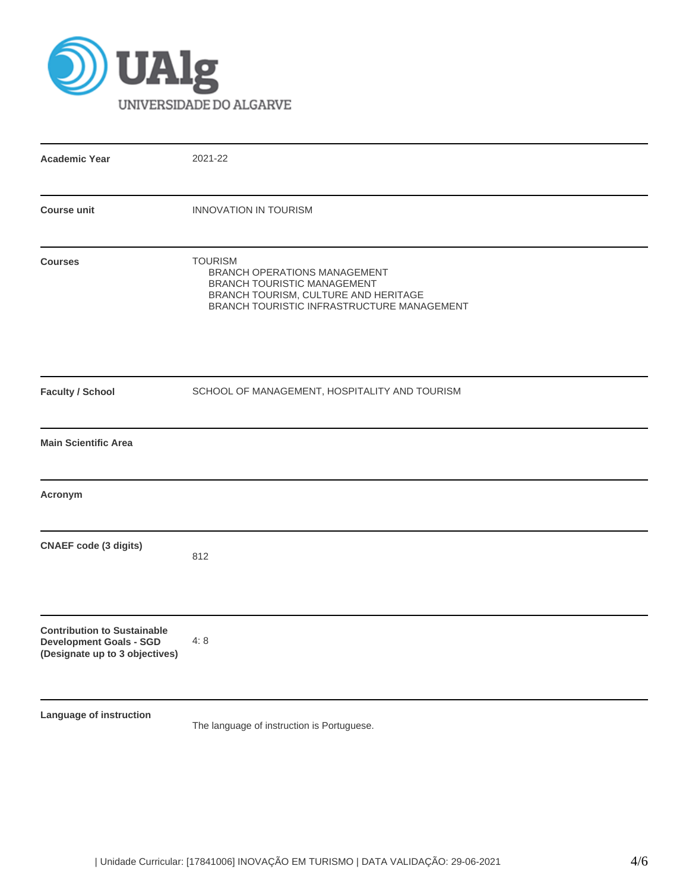

| <b>Academic Year</b>                                                                                   | 2021-22                                                                                                                                                                    |  |  |  |  |  |
|--------------------------------------------------------------------------------------------------------|----------------------------------------------------------------------------------------------------------------------------------------------------------------------------|--|--|--|--|--|
|                                                                                                        |                                                                                                                                                                            |  |  |  |  |  |
| <b>Course unit</b>                                                                                     | <b>INNOVATION IN TOURISM</b>                                                                                                                                               |  |  |  |  |  |
|                                                                                                        |                                                                                                                                                                            |  |  |  |  |  |
| <b>Courses</b>                                                                                         | <b>TOURISM</b><br>BRANCH OPERATIONS MANAGEMENT<br><b>BRANCH TOURISTIC MANAGEMENT</b><br>BRANCH TOURISM, CULTURE AND HERITAGE<br>BRANCH TOURISTIC INFRASTRUCTURE MANAGEMENT |  |  |  |  |  |
|                                                                                                        |                                                                                                                                                                            |  |  |  |  |  |
| <b>Faculty / School</b>                                                                                | SCHOOL OF MANAGEMENT, HOSPITALITY AND TOURISM                                                                                                                              |  |  |  |  |  |
| <b>Main Scientific Area</b>                                                                            |                                                                                                                                                                            |  |  |  |  |  |
| Acronym                                                                                                |                                                                                                                                                                            |  |  |  |  |  |
| <b>CNAEF</b> code (3 digits)                                                                           | 812                                                                                                                                                                        |  |  |  |  |  |
| <b>Contribution to Sustainable</b><br><b>Development Goals - SGD</b><br>(Designate up to 3 objectives) | 4:8                                                                                                                                                                        |  |  |  |  |  |
| Language of instruction                                                                                | The language of instruction is Portuguese.                                                                                                                                 |  |  |  |  |  |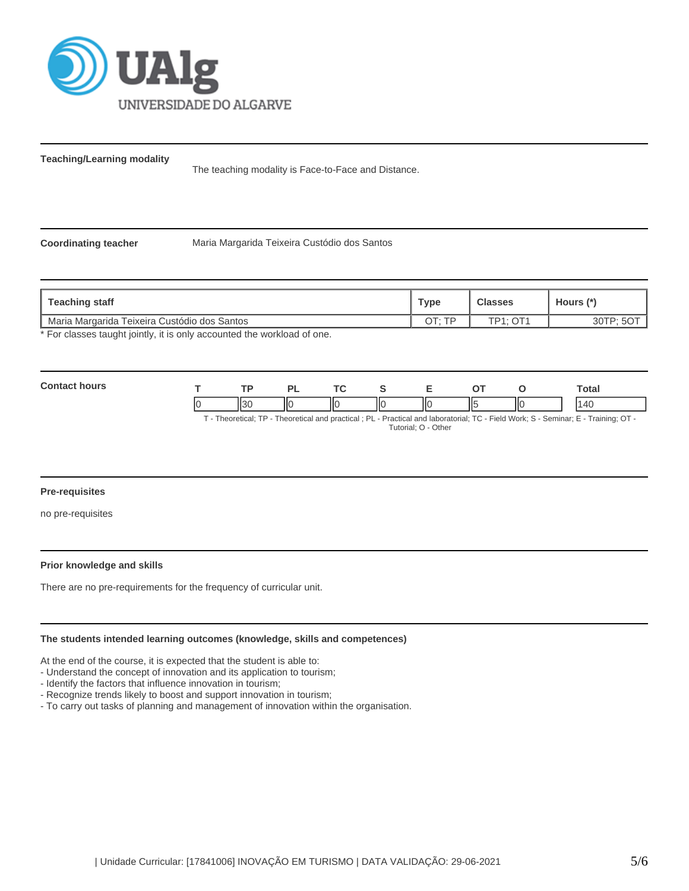

**Teaching/Learning modality**

The teaching modality is Face-to-Face and Distance.

**Coordinating teacher** Maria Margarida Teixeira Custódio dos Santos

| Teaching staff                                                                           | Type   | <b>Classes</b>        | Hours (*) |
|------------------------------------------------------------------------------------------|--------|-----------------------|-----------|
| I Maria Margarida Teixeira Custódio dos Santos                                           | OT: TP | $TD4 \cdot \bigcap 1$ |           |
| * Experimental according to the first contract and contract the computational of species |        |                       |           |

For classes taught jointly, it is only accounted the workload of one.

| Con<br>ours |   |                           | ים | <b>Trea</b> |   |                          |                    |               | Total    |
|-------------|---|---------------------------|----|-------------|---|--------------------------|--------------------|---------------|----------|
|             | К | $\mathsf{I} \cap$<br>ישוו | ΙЮ |             | Ш | $\overline{\phantom{a}}$ | $\mathbf{u}$<br>'' | $\parallel$ c | $\Delta$ |

T - Theoretical; TP - Theoretical and practical ; PL - Practical and laboratorial; TC - Field Work; S - Seminar; E - Training; OT - Tutorial; O - Other

# **Pre-requisites**

no pre-requisites

# **Prior knowledge and skills**

There are no pre-requirements for the frequency of curricular unit.

#### **The students intended learning outcomes (knowledge, skills and competences)**

At the end of the course, it is expected that the student is able to:

- Understand the concept of innovation and its application to tourism;
- Identify the factors that influence innovation in tourism;
- Recognize trends likely to boost and support innovation in tourism;
- To carry out tasks of planning and management of innovation within the organisation.